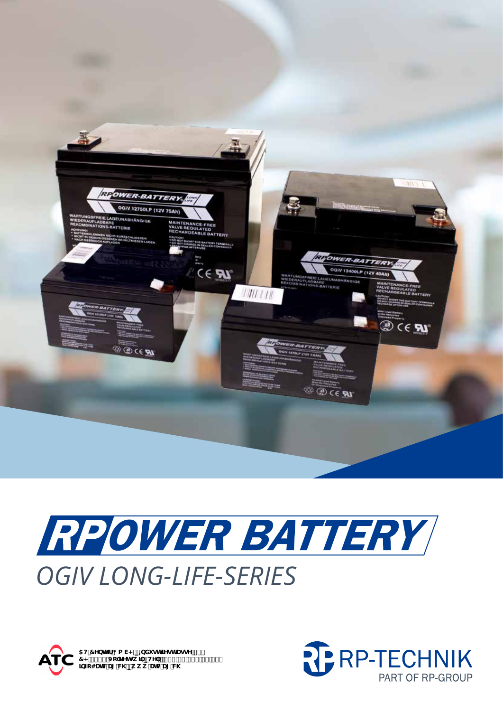

# RPOWER BATTERY *OGIV LONG-LIFE-SERIES*



5H'7YbhYf; a V< p=bXi ghf]YghfUggY'&, 7<!, \*\$( J c`\_Yhgk ]`pHY''. Z(%\*& , , + ' \$ , \$` ]bZc4UHWU['W\'pkkk'UHWU['W\

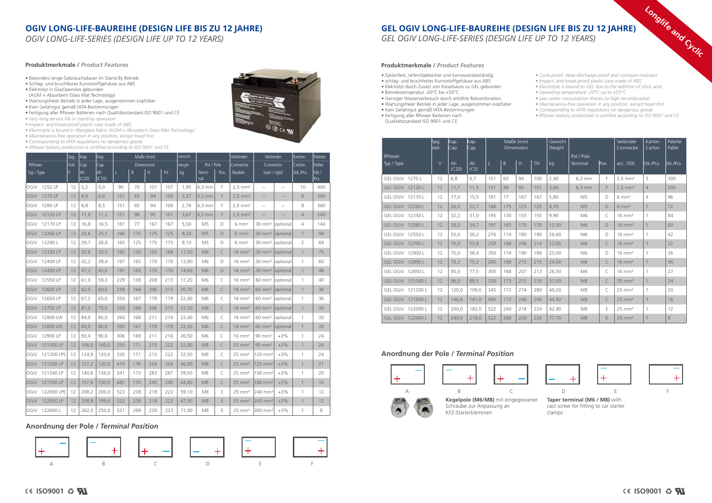# **OGIV LONG-LIFE-BAUREIHE (DESIGN LIFE BIS ZU 12 JAHRE)**

*OGIV LONG-LIFE-SERIES (DESIGN LIFE UP TO 12 YEARS)*

OGiV 121200 LPS 12 124,9 120,0 330 171 215 222 32,50 M8 C 25 mm² 120 mm² +3% 1 24 OGiV 121200 LP 12 127,2 120,0 410 176 224 224 36,00 M8 C 25 mm² 120 mm² +3% 1 21  $\vert$ OGiV 121340 LP  $\vert$  12  $\vert$  140,8  $\vert$  134,0  $\vert$  341  $\vert$  173  $\vert$  283  $\vert$  287  $\vert$  39,50  $\vert$  M8  $\vert$  C  $\vert$  25 mm<sup>2</sup>  $\vert$  150 mm<sup>2</sup>  $\vert$  +3%  $\vert$  1  $\vert$  20 OGiV 121500 LP | 12 | 157,6 | 150,0 | 482 | 170 | 240 | 240 | 44,80 | M8 | C | 25 mm<sup>2</sup> | 180 mm<sup>2</sup> | +3% | 1 | 16  $\vert$ OGiV 122000 LPE 12  $\vert$  208,2  $\vert$  200,0  $\vert$  522  $\vert$  238  $\vert$  218  $\vert$  223  $\vert$  59,10  $\vert$  M8  $\vert$  E  $\vert$  25 mm<sup>2</sup>  $\vert$  240 mm<sup>2</sup> +3%  $\vert$  1  $\vert$  12 OGiV 122000 LP | 12 | 208,8 | 199,0 | 522 | 238 | 218 | 223 | 67,50 | M8 | E | 25 mm<sup>2</sup> | 240 mm<sup>2</sup> | +3% | 1 | 12  $\vert$ OGiV 122600 L  $\vert$  12  $\vert$  262,0  $\vert$  250,0  $\vert$  521  $\vert$  269  $\vert$  220  $\vert$  223  $\vert$  71,00  $\vert$  M8  $\vert$  E  $\vert$  25 mm<sup>2</sup> 300 mm<sup>2</sup> +3%  $\vert$  1  $\vert$  8

|            |                       | Spg.   | Kap.          | Kap.         |     | Maße (mm)         |     |           | Gewicht |                |      | Verbinder             | Verbinder                     |                   | Karton         | Palette       |
|------------|-----------------------|--------|---------------|--------------|-----|-------------------|-----|-----------|---------|----------------|------|-----------------------|-------------------------------|-------------------|----------------|---------------|
| RPower     |                       | Volt.  | Cap.          | Cap.         |     | <b>Dimensions</b> |     |           | Weight  | Pol / Pole     |      | Connector             | Connector                     |                   | Carton         | Pallet        |
| Typ / Type |                       | $\vee$ | lAh.<br>(C20) | Ah.<br>(C10) | L   | B                 | H   | <b>TH</b> | kg      | Termi-<br>nal  | Pos. | flexible              | starr / rigid                 |                   | Stk./Pcs.      | Stk./<br>Pcs. |
|            | OGiV 1252 LP          | 12     | 5,2           | 5,0          | 90  | 70                | 101 | 107       | 1,95    | $6,3$ mm       | F    | $2,5$ mm <sup>2</sup> | $\qquad \qquad -$             | $- -$             | 10             | 400           |
|            | OGiV 1270 LP          | 12     | 6,9           | 6,6          | 151 | 65                | 94  | 100       | 2,37    | $6,3$ mm       | F    | $2.5$ mm <sup>2</sup> | $- -$                         | $\qquad \qquad -$ | 8              | 360           |
|            | OGiV 1290 LP          | 12     | 8,8           | 8,5          | 151 | 65                | 94  | 100       | 2,78    | $6,3$ mm       | F.   | $2.5$ mm <sup>2</sup> | $- -$                         | $-\,-$            | 8              | 360           |
|            | OGiV 12120 LP         | 12     | 11,8          | 11,2         | 151 | 98                | 95  | 101       | 3,67    | $6,3$ mm       | F    | $2.5$ mm <sup>2</sup> | $-$                           | $- -$             | $\overline{4}$ | 200           |
|            | OGiV 12170 LP         | 12     | 16,8          | 16,5         | 181 | 77                | 167 | 167       | 5,50    | M <sub>5</sub> | D    | $6 \, \text{mm}^2$    | 30 mm <sup>2</sup>   optional |                   | $\overline{4}$ | 144           |
|            | OGiV 12260 LP         | 12     | 25,6          | 25,1         | 166 | 175               | 125 | 125       | 9,20    | M <sub>5</sub> | D    | $6 \text{ mm}^2$      | 30 mm <sup>2</sup>   optional |                   | $\mathbf{1}$   | 96            |
|            | OGiV 12280 L          | 12     | 29,7          | 28,0         | 165 | 125               | 175 | 175       | 9,10    | M <sub>5</sub> | D    | $6 \text{ mm}^2$      | 30 mm <sup>2</sup> optional   |                   | $\overline{2}$ | 64            |
|            | OGiV 12330 LP         | 12     | 33,6          | 33,0         | 195 | 130               | 155 | 168       | 11,00   | M <sub>6</sub> | C    | $16 \text{ mm}^2$     | 30 mm <sup>2</sup>   optional |                   | $\mathbf{1}$   | 75            |
|            | OGiV 12400 LP         | 12     | 42,2          | 39,4         | 197 | 165               | 170 | 170       | 13,80   | M6             | D    | $16 \text{ mm}^2$     | 30 mm <sup>2</sup> optional   |                   | $\mathbf{1}$   | 60            |
|            | OGiV 12450 LP         | 12     | 47,2          | 45,0         | 197 | 165               | 170 | 170       | 14,60   | M6             | D    | $16 \text{ mm}^2$     | 30 mm <sup>2</sup>   optional |                   | $\mathbf{1}$   | 48            |
|            | OGiV 12550 LP         | 12     | 61,0          | 59,3         | 229 | 138               | 208 | 213       | 17,20   | M <sub>6</sub> | C    | $16 \text{ mm}^2$     | 60 mm <sup>2</sup> optional   |                   | $\mathbf{1}$   | 40            |
|            | OGiV 12600 LP         | 12     | 62,0          | 60,0         | 258 | 166               | 206 | 215       | 20,70   | M <sub>6</sub> | C    | $16 \text{ mm}^2$     | 60 mm <sup>2</sup>   optional |                   | $\mathbf{1}$   | 36            |
|            | OGiV 12650 LP         | 12     | 67,2          | 65,0         | 350 | 167               | 179 | 179       | 22,40   | M6             | C    | $16 \text{ mm}^2$     | 60 mm <sup>2</sup>   optional |                   | $\mathbf{1}$   | 36            |
|            | OGiV 12750 LP         | 12     | 81,0          | 75,0         | 258 | 166               | 206 | 215       | 22,50   | M6             | C    | $16 \text{ mm}^2$     | 60 mm <sup>2</sup>   optional |                   | $\mathbf{1}$   | 30            |
|            | OGiV 12800 LW         | 12     | 84,0          | 80,0         | 260 | 168               | 211 | 214       | 22,40   | M6             | C    | $16 \text{ mm}^2$     | 60 mm <sup>2</sup> optional   |                   | $\mathbf{1}$   | 30            |
|            | <b>OGiV 12800 LPL</b> | 12     | 84,0          | 80,0         | 350 | 167               | 179 | 179       | 22,50   | M <sub>6</sub> | C    | $16 \text{ mm}^2$     | 60 mm <sup>2</sup>   optional |                   | $\mathbf{1}$   | 30            |
|            | OGiV 12900 LP         | 12     | 93,4          | 90,0         | 306 | 169               | 211 | 216       | 26,50   | M6             | C    | $16 \text{ mm}^2$     | $90 \text{ mm}^2$             | $+3%$             | $\mathbf{1}$   | 24            |
|            | OGiV 121000 LP        | 12     | 106,0         | 100,0        | 330 | 171               | 215 | 222       | 32,00   | M <sub>8</sub> | C    | $25 \text{ mm}^2$     | $90$ mm <sup>2</sup>          | $+3%$             | $\mathbf{1}$   | 24            |

#### **Produktmerkmale /** *Product Features*

- Besonders lange Gebrauchsdauer im Stand-By Betrieb
- Schlag- und bruchfestes Kunststoffgehäuse aus ABS • Elektrolyt in Glasfaservlies gebunden
- (AGM = Absorbent Glass Mat Technology)
- Wartungsfreier Betrieb in jeder Lage, ausgenommen kopfüber • Kein Gefahrgut gemäß lATA-Bestimmungen
- Fertigung aller RPower Batterien nach Qualitätsstandard ISO 9001 und CE
- *Very long service life in stand-by operation*

- *Impact- and break-proof plastic case made of ABS*
- *Electrolyte is bound in fiberglass fabric (AGM = Absorbent Glass Mat Technology)*
- *Maintenance-free operation in any position, except head first*
- *Corresponding to IATA regulations no dangerous goods*
- *RPower battery production is certified according to ISO 9001 and CE*





# **Anordnung der Pole /** *Terminal Position*

# **GEL OGIV LONG-LIFE-BAUREIHE (DESIGN LIFE BIS ZU 12 JAHRE)** *GEL OGIV LONG-LIFE-SERIES (DESIGN LIFE UP TO 12 YEARS)*

# **Anordnung der Pole /** *Terminal Position*

|                      | Spg.<br>Volt. | Kap.<br>Cap. | Kap.<br>Cap. |     |     | Maße (mm)<br><b>Dimensions</b> |     | Gewicht<br>Weight |                        |        | Verbinder<br>Connector | Karton<br>Carton | Palette<br>Pallet |
|----------------------|---------------|--------------|--------------|-----|-----|--------------------------------|-----|-------------------|------------------------|--------|------------------------|------------------|-------------------|
| RPower<br>Typ / Type | $\vee$        | Ah<br>(C20)  | Ah<br>(C5)   | L   | B   | H                              | TH  | kg                | Pol / Pole<br>Terminal | lPos.  | acc. VDE               | Stk./Pcs.        | Stk./Pcs.         |
| GEL OGIV 1270 L      | 12            | 6.8          | 6.7          | 151 | 65  | 94                             | 100 | 2,40              | 6.3 mm                 | F      | $2.5$ mm <sup>2</sup>  | 5                | 300               |
| GEL OGIV 12120 L     | 12            | 11,7         | 11,5         | 151 | 98  | 95                             | 101 | 3,60              | $6,3$ mm               | F      | $2,5$ mm <sup>2</sup>  | $\overline{4}$   | 200               |
| GEL OGIV 12170 L     | 12            | 17,0         | 15,5         | 181 | 77  | 167                            | 167 | 5,80              | M <sub>5</sub>         | D      | $6 \text{ mm}^2$       | 4                | 96                |
| GEL OGIV 12260 L     | 12            | 26,0         | 23,7         | 166 | 175 | 125                            | 125 | 8,70              | M <sub>5</sub>         | D      | $6 \text{ mm}^2$       | 1                | 72                |
| GEL OGIV 12330 L     | 12            | 32,2         | 31.0         | 195 | 130 | 155                            | 155 | 9,90              | M6                     | C      | $16 \text{ mm}^2$      |                  | 84                |
| GEL OGIV 12380 L     | 12            | 38,0         | 34.7         | 197 | 165 | 170                            | 170 | 13,50             | M <sub>6</sub>         | $\Box$ | $16 \text{ mm}^2$      | 1                | 60                |
| GEL OGIV 12550 L     | 12            | 55,0         | 50,2         | 276 | 174 | 190                            | 190 | 20,40             | M6                     | D      | $16 \text{ mm}^2$      |                  | 42                |
| GEL OGIV 12700 L     | 12            | 70,0         | 53,8         | 259 | 168 | 208                            | 214 | 23,00             | M <sub>6</sub>         | C      | $16 \text{ mm}^2$      | $\mathbf{1}$     | 32                |
| GEL OGIV 12900 L     | 12            | 75,0         | 58,4         | 350 | 174 | 190                            | 190 | 25,00             | M6                     | D      | $16 \text{ mm}^2$      |                  | 36                |
| GEL OGIV 12800 L     | 12            | 78,2         | 75,2         | 260 | 168 | 215                            | 215 | 24,00             | M <sub>6</sub>         | C      | $16 \text{ mm}^2$      |                  | 36                |
| GEL OGIV 12850 L     | 12            | 85.0         | 77.5         | 305 | 168 | 207                            | 213 | 26,50             | M6                     | C      | $16 \text{ mm}^2$      |                  | 27                |
| GEL OGIV 121000 L    | 12            | 96,0         | 88,5         | 330 | 173 | 212                            | 218 | 31,00             | M <sub>8</sub>         | C      | $25 \text{ mm}^2$      | $\mathbf{1}$     | 24                |
| GEL OGIV 121200 L    | 12            | 120,0        | 109,0        | 345 | 172 | 274                            | 280 | 40,20             | M <sub>8</sub>         | C      | $25 \text{ mm}^2$      | 1                | 20                |
| GEL OGIV 121500 L    | 12            | 146,6        | 141,0        | 485 | 172 | 240                            | 240 | 44,50             | M <sub>8</sub>         | C      | $25$ mm <sup>2</sup>   | 1                | 16                |
| GEL OGIV 122000 L    | 12            | 200,0        | 182,0        | 522 | 240 | 218                            | 224 | 62,90             | M <sub>8</sub>         | E      | $25 \text{ mm}^2$      |                  | 12                |
| GEL OGIV 122400 L    | 12            | 240.0        | 219,0        | 522 | 268 | 220                            | 226 | 77,70             | M <sub>8</sub>         | E      | $25$ mm <sup>2</sup>   |                  | 8                 |



- Zyklenfest, tiefentladesicher und korrosionsbeständig
- schlag- und bruchfestes Kunststoffgehäuse aus ABS
- Elektrolyt durch Zusatz von Kieselsäure zu GEL gebunden
- Betriebstemperatur -20°C bis +55°C
- Geringer Wasserverbrauch durch erhöhte Rekombination • Wartungsfreier Betrieb in jeder Lage, ausgenommen kopfüber
- Kein Gefahrgut gemäß lATA-Bestimmungen
- Fertigung aller RPower Batterien nach
- Qualitätsstandard ISO 9001 und CE
- *Cycle-proof, deep-discharge-proof and corrosion-resistant • Impact- and break-proof plastic case made of ABS*
- *Electrolyte is bound to GEL due to the addition of silicic acid*
- *Operating temperature -20°C up to +55°C*
- *Less water consumption thanks to high recombination • Maintenance-free operation in any position, except head first*
- *Corresponding to IATA regulations no dangerous goods*
- *RPower battery production is certified according to ISO 9001 and CE*







#### **Produktmerkmale /** *Product Features*

**Taper terminal (M6 / M8)** with cast screw for fitting to car starter clamps

**Longlife and Cyclic**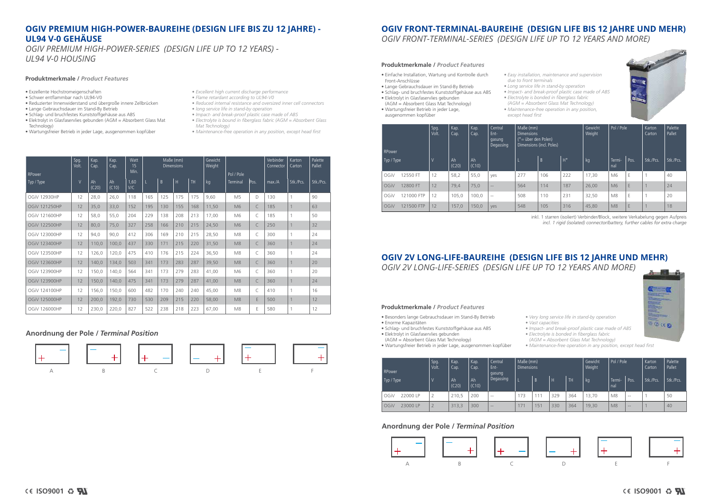# **OGIV FRONT-TERMINAL-BAUREIHE (DESIGN LIFE BIS 12 JAHRE UND MEHR)** *OGIV FRONT-TERMINAL-SERIES (DESIGN LIFE UP TO 12 YEARS AND MORE)*

# **OGIV 2V LONG-LIFE-BAUREIHE (DESIGN LIFE BIS 12 JAHRE UND MEHR)** *OGIV 2V LONG-LIFE-SERIES (DESIGN LIFE UP TO 12 YEARS AND MORE)*

#### **Produktmerkmale /** *Product Features*

#### **Produktmerkmale /** *Product Features*

- Besonders lange Gebrauchsdauer im Stand-By Betrieb
- Enorme Kapazitäten
- Schlag- und bruchfestes Kunststoffgehäuse aus ABS
- Elektrolyt in Glasfaservlies gebunden (AGM = Absorbent Glass Mat Technology)
- 
- Wartungsfreier Betrieb in jeder Lage, ausgenommen kopfüber

*• Very long service life in stand-by operation • Vast capacities*

*• Impact- and break-proof plastic case made of ABS • Electrolyte is bonded in fiberglass fabric* 

*(AGM = Absorbent Glass Mat Technology)*

*• Maintenance-free operation in any position, except head first*

# **OGIV PREMIUM HIGH-POWER-BAUREIHE (DESIGN LIFE BIS ZU 12 JAHRE) - UL94 V-0 GEHÄUSE**

*OGIV PREMIUM HIGH-POWER-SERIES (DESIGN LIFE UP TO 12 YEARS) - UL94 V-0 HOUSING*

#### **Produktmerkmale /** *Product Features*

- Exzellente Hochstromeigenschaften
- Schwer entflammbar nach UL94-V0 • Reduzierter Innenwiderstand und übergroße innere Zellbrücken
- Lange Gebrauchsdauer im Stand-By Betrieb
- Schlag- und bruchfestes Kunststoffgehäuse aus ABS
- Elektrolyt in Glasfaservlies gebunden (AGM = Absorbent Glass Mat Technology)
- Wartungsfreier Betrieb in jeder Lage, ausgenommen kopfüber
- *Excellent high current discharge performance*
- *Flame retardant according to UL94-V0*
- *Reduced internal resistance and oversized inner cell connectors*
- *long service life in stand-by operation*
- *Impact- and break-proof plastic case made of ABS*
- *Electrolyte is bound in fiberglass fabric (AGM = Absorbent Glass Mat Technology)*
- *Maintenance-free operation in any position, except head first*





**BOCK** 

## **Anordnung der Pole /** *Terminal Position*

# **Anordnung der Pole /** *Terminal Position*



|                      | Spg.<br>Volt.  | Kap.<br>Cap. | Kap.<br>Cap. | Watt<br>15          |     |     | Maße (mm)<br><b>Dimensions</b> |           | Gewicht<br>Weight |                        |      | Verbinder<br>Connector | <b>Karton</b><br>Carton | Palette<br>Pallet |
|----------------------|----------------|--------------|--------------|---------------------|-----|-----|--------------------------------|-----------|-------------------|------------------------|------|------------------------|-------------------------|-------------------|
| RPower<br>Typ / Type | $\overline{V}$ | Ah<br>(C20)  | Ah<br>(C10)  | Min.<br>1,60<br>V/C |     | B   | H                              | <b>TH</b> | kg                | Pol / Pole<br>Terminal | Pos. | max/A                  | Stk./Pcs.               | Stk./Pcs.         |
| <b>OGiV 12930HP</b>  | 12             | 28,0         | 26,0         | 118                 | 165 | 125 | 175                            | 175       | 9,60              | M <sub>5</sub>         | D    | 130                    | $\mathbf{1}$            | 90                |
| <b>OGiV 121250HP</b> | 12             | 35,0         | 33,0         | 152                 | 195 | 130 | 155                            | 168       | 11,50             | M <sub>6</sub>         | C    | 185                    | $\overline{1}$          | 63                |
| OGiV 121600HP        | 12             | 58,0         | 55,0         | 204                 | 229 | 138 | 208                            | 213       | 17,00             | M6                     | C    | 185                    |                         | 50                |
| <b>OGiV 122500HP</b> | 12             | 80,0         | 75,0         | 327                 | 258 | 166 | 210                            | 215       | 24,50             | M6                     | C    | 250                    | $\ddot{\phantom{1}}$    | 32                |
| <b>OGiV 123000HP</b> | 12             | 94,0         | 90,0         | 412                 | 306 | 169 | 210                            | 215       | 28,50             | M <sub>8</sub>         | C    | 300                    | $\mathbf{1}$            | 24                |
| OGIV 123400HP        | 12             | 110,0        | 100,0        | 437                 | 330 | 171 | 215                            | 220       | 31,50             | M <sub>8</sub>         | C    | 360                    | $\overline{1}$          | 24                |
| <b>OGiV 123500HP</b> | 12             | 126,0        | 120,0        | 475                 | 410 | 176 | 215                            | 224       | 36,50             | M <sub>8</sub>         | C    | 360                    |                         | 24                |
| <b>OGiV 123600HP</b> | 12             | 140,0        | 134,0        | 503                 | 341 | 173 | 283                            | 287       | 39,50             | M8                     | C    | 360                    | $\overline{1}$          | 20                |
| OGIV 123900HP        | 12             | 150,0        | 140,0        | 564                 | 341 | 173 | 279                            | 283       | 41,00             | M6                     | C    | 360                    | $\overline{1}$          | 20                |
| <b>OGiV 123900HP</b> | 12             | 150,0        | 140,0        | 475                 | 341 | 173 | 279                            | 287       | 41,00             | M8                     | C    | 360                    | $\overline{1}$          | 24                |
| OGiV 124100HP        | 12             | 156,0        | 150,0        | 600                 | 482 | 170 | 240                            | 240       | 45,00             | M <sub>8</sub>         | C    | 410                    |                         | 16                |
| <b>OGiV 125000HP</b> | 12             | 200,0        | 192,0        | 730                 | 530 | 209 | 215                            | 220       | 58,00             | M <sub>8</sub>         | E    | 500                    | $\overline{1}$          | 12                |
| OGiV 126000HP        | 12             | 230,0        | 220,0        | 827                 | 522 | 238 | 218                            | 223       | 67,00             | M <sub>8</sub>         | E    | 580                    | $\overline{1}$          | 12                |

| RPower     |            | Spg.<br>Volt. | Kap.<br>Cap. | Kap.<br>Cap. | Central<br>Ent-<br>gasung<br>Degassing | Maße (mm)<br><b>Dimensions</b><br>(*= über den Polen) | Dimensions (incl. Poles) |       | Gewicht<br>Weight | Pol / Pole     |      | Karton<br>Carton | Palette<br>Pallet |
|------------|------------|---------------|--------------|--------------|----------------------------------------|-------------------------------------------------------|--------------------------|-------|-------------------|----------------|------|------------------|-------------------|
| Typ / Type |            |               | Ah<br>(C20)  | Ah<br>(C10)  |                                        |                                                       | B                        | $H^*$ | kg                | Termi-<br>nal  | Pos. | Stk./Pcs.        | Stk./Pcs.         |
| OGiV       | 12550 FT   | 12            | 58,2         | 55,0         | yes                                    | 277                                                   | 106                      | 222   | 17,30             | M <sub>6</sub> | E    |                  | 40                |
| OGiV       | 12800 FT   | 12            | 79,4         | 75,0         | $\overline{a}$                         | 564                                                   | 114                      | 187   | 26,00             | M <sub>6</sub> | E    |                  | 24                |
| OGiV       | 121000 FTP | 12            | 105,0        | 100,0        | $-$                                    | 508                                                   | 110                      | 231   | 32,50             | M8             | E    |                  | 20                |
| OGiV       | 121500 FTP | 12            | 157,0        | 150,0        | ves                                    | 548                                                   | 105                      | 316   | 45,80             | M <sub>8</sub> | E    |                  | 18                |

| RPower           | Spg.<br>Volt. | Kap.<br>Cap. | Kap.<br>Cap. | Central<br>Ent-<br>gasung | Maße (mm)<br><b>Dimensions</b> |                |     |            | Gewicht<br>Weight | Pol / Pole     |       | Karton<br>Carton | Palette<br>Pallet |
|------------------|---------------|--------------|--------------|---------------------------|--------------------------------|----------------|-----|------------|-------------------|----------------|-------|------------------|-------------------|
| Typ / Type       |               | Ah<br>(C20)  | Ah<br>(C10)  | Degassing                 |                                | $\overline{B}$ | H   | <b>ITH</b> | kg                | Termi-<br>nal  | Pos.  | Stk./Pcs.        | Stk./Pcs.         |
| OGiV<br>22000 LP | $\bigcap$     | 210,5        | 200          | $- -$                     | 173                            | 111            | 329 | 364        | 13,70             | M <sub>8</sub> | $- -$ |                  | 50                |
| OGiV<br>23000 LP | $\bigcap$     | 313,3        | 300          | $\sim$ $-$                | 17                             | 151            | 330 | 364        | 19,30             | M <sub>8</sub> | $- -$ |                  | 40                |

inkl. 1 starren (isoliert) Verbinder/Block, weitere Verkabelung gegen Aufpreis *incl. 1 rigid (isolated) connector/battery, further cables for extra charge*

- Einfache Installation, Wartung und Kontrolle durch Front-Anschlüsse
- Lange Gebrauchsdauer im Stand-By Betrieb
- Schlag- und bruchfestes Kunststoffgehäuse aus ABS
- Elektrolyt in Glasfaservlies gebunden
- (AGM = Absorbent Glass Mat Technology) • Wartungsfreier Betrieb in jeder Lage,
- ausgenommen kopfüber
- *except head first*
- *Easy installation, maintenance and supervision due to front terminals*
- *Long service life in stand-by operation • Impact- and break-proof plastic case made of ABS*
- *Electrolyte is bonded in fiberglass fabric*
- *(AGM = Absorbent Glass Mat Technology)*
- *Maintenance-free operation in any position,* 
	-

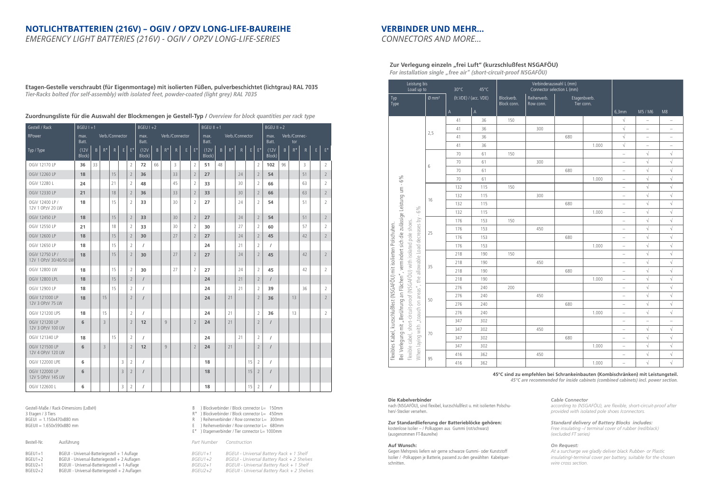# **VERBINDER UND MEHR…**

*CONNECTORS AND MORE…*

# **NOTLICHTBATTERIEN (216V) – OGIV / OPZV LONG-LIFE-BAUREIHE**

*EMERGENCY LIGHT BATTERIES (216V) - OGIV / OPZV LONG-LIFE-SERIES*

Zur Verlegung einzeln "frei Luft" (kurzschlußfest NSGAFÖU) *For installation single "free air" (short-circuit-proof NSGAFÖU)*

| Leistung bis<br>Load up to                                                                                                                                           |                                                                                |                  | $30^{\circ}$ C | $45^{\circ}$ C        |                           | Verbinderauswahl L (mm)<br>Connector selection L (mm) |     |                            |                                   |                                   |                          |
|----------------------------------------------------------------------------------------------------------------------------------------------------------------------|--------------------------------------------------------------------------------|------------------|----------------|-----------------------|---------------------------|-------------------------------------------------------|-----|----------------------------|-----------------------------------|-----------------------------------|--------------------------|
| Typ<br>Type                                                                                                                                                          |                                                                                | $Q \text{ mm}^2$ |                | (It.VDE) / (acc. VDE) | Blockverb.<br>Block conn. | Reihenverb.<br>Row conn.                              |     | Etagenbverb.<br>Tier conn. |                                   |                                   |                          |
|                                                                                                                                                                      |                                                                                |                  | $\mathsf A$    | $\mathsf A$           |                           |                                                       |     |                            | 6,3mm                             | M5 / M6                           | M8                       |
|                                                                                                                                                                      |                                                                                |                  | 41             | 36                    | 150                       |                                                       |     |                            | $\sqrt{}$                         | $\overline{\phantom{0}}$          | $\overline{\phantom{0}}$ |
|                                                                                                                                                                      |                                                                                |                  | 41             | 36                    |                           | 300                                                   |     |                            | $\sqrt{}$                         | $\overline{\phantom{0}}$          |                          |
|                                                                                                                                                                      | 2,5                                                                            |                  | 41             | 36                    |                           |                                                       | 680 |                            | $\sqrt{}$                         | $\qquad \qquad -$                 | $\qquad \qquad -$        |
|                                                                                                                                                                      |                                                                                |                  | 41             | 36                    |                           |                                                       |     | 1.000                      | $\sqrt{}$                         | $\hspace{1.0cm} - \hspace{1.0cm}$ | $\qquad \qquad -$        |
|                                                                                                                                                                      |                                                                                |                  | 70             | 61                    | 150                       |                                                       |     |                            | $\hspace{1.0cm} - \hspace{1.0cm}$ | $\sqrt{}$                         | $\sqrt{}$                |
|                                                                                                                                                                      | 6                                                                              |                  | 70             | 61                    |                           | 300                                                   |     |                            | $\overline{\phantom{0}}$          | $\sqrt{ }$                        | $\sqrt{ }$               |
|                                                                                                                                                                      |                                                                                |                  | 70             | 61                    |                           |                                                       | 680 |                            | $\overline{\phantom{0}}$          | $\sqrt{}$                         | $\sqrt{}$                |
|                                                                                                                                                                      |                                                                                |                  | 70             | 61                    |                           |                                                       |     | 1.000                      | $\overline{\phantom{0}}$          | $\sqrt{ }$                        | $\sqrt{}$                |
| vermindert sich die zulässige Leistung um - 6%                                                                                                                       |                                                                                |                  | 132            | 115                   | 150                       |                                                       |     |                            | $\hspace{1.0cm} - \hspace{1.0cm}$ | $\sqrt{}$                         | $\sqrt{}$                |
|                                                                                                                                                                      | 16                                                                             |                  | 132            | 115                   |                           | 300                                                   |     |                            | $\overline{\phantom{a}}$          | $\sqrt{}$                         | $\sqrt{}$                |
|                                                                                                                                                                      |                                                                                |                  | 132            | 115                   |                           |                                                       | 680 |                            | $\overline{\phantom{a}}$          | $\sqrt{}$                         | $\sqrt{}$                |
|                                                                                                                                                                      |                                                                                |                  | 132            | 115                   |                           |                                                       |     | 1.000                      | $\overline{\phantom{0}}$          | $\sqrt{}$                         | $\sqrt{ }$               |
|                                                                                                                                                                      |                                                                                |                  | 176            | 153                   | 150                       |                                                       |     |                            | $\hspace{1.0cm} - \hspace{1.0cm}$ | $\sqrt{ }$                        | $\sqrt{}$                |
|                                                                                                                                                                      | 25                                                                             |                  | 176            | 153                   |                           | 450                                                   |     |                            | $\overline{\phantom{0}}$          | $\sqrt{}$                         | $\sqrt{}$                |
|                                                                                                                                                                      |                                                                                |                  | 176            | 153                   |                           |                                                       | 680 |                            | $\overline{\phantom{0}}$          | $\sqrt{ }$                        | $\sqrt{}$                |
|                                                                                                                                                                      |                                                                                |                  | 176            | 153                   |                           |                                                       |     | 1.000                      | $\overline{\phantom{a}}$          | $\sqrt{}$                         | $\sqrt{}$                |
|                                                                                                                                                                      |                                                                                |                  | 218            | 190                   | 150                       |                                                       |     |                            | $\overline{\phantom{a}}$          | $\sqrt{}$                         | $\sqrt{}$                |
|                                                                                                                                                                      | 35                                                                             |                  | 218            | 190                   |                           | 450                                                   |     |                            | $\overline{\phantom{0}}$          | $\sqrt{}$                         | $\sqrt{}$                |
|                                                                                                                                                                      |                                                                                |                  | 218            | 190                   |                           |                                                       | 680 |                            | $\overline{\phantom{a}}$          | $\sqrt{}$                         | $\sqrt{}$                |
|                                                                                                                                                                      |                                                                                |                  | 218            | 190                   |                           |                                                       |     | 1.000                      | $\overline{\phantom{a}}$          | $\sqrt{}$                         | $\sqrt{}$                |
| "Berührung an Flächen",                                                                                                                                              |                                                                                |                  | 276            | 240                   | 200                       |                                                       |     |                            | $\overline{\phantom{0}}$          | $\sqrt{ }$                        | $\sqrt{ }$               |
|                                                                                                                                                                      | 50                                                                             |                  | 276            | 240                   |                           | 450                                                   |     |                            | $\qquad \qquad -$                 | $\sqrt{ }$                        | $\sqrt{ }$               |
|                                                                                                                                                                      |                                                                                |                  | 276            | 240                   |                           |                                                       | 680 |                            | $\overline{\phantom{a}}$          | $\sqrt{}$                         | $\sqrt{ }$               |
|                                                                                                                                                                      |                                                                                |                  | 276            | 240                   |                           |                                                       |     | 1.000                      | $\qquad \qquad -$                 | $\sqrt{}$                         | $\sqrt{}$                |
|                                                                                                                                                                      |                                                                                |                  | 347            | 302                   |                           |                                                       |     |                            | $\hspace{1.0cm} - \hspace{1.0cm}$ | $\overline{\phantom{0}}$          | $\qquad \qquad -$        |
|                                                                                                                                                                      |                                                                                |                  | 347            | 302                   |                           | 450                                                   |     |                            | $\qquad \qquad -$                 | $\sqrt{ }$                        | $\sqrt{}$                |
| flexible cabel, short-circuit-proof (NSGAFÖU) with isolated pole shoes.<br>flexibles Kabel, kurzschlußfest (NSGAFÖU) mit isolierten Polschuhen.<br>Bei Verlegung mit | When laying with "toauch on areas", the allowable Load decreases by - 6%<br>70 |                  | 347            | 302                   |                           |                                                       | 680 |                            | $\overline{\phantom{m}}$          | $\sqrt{}$                         | $\sqrt{}$                |
|                                                                                                                                                                      |                                                                                |                  | 347            | 302                   |                           |                                                       |     | 1.000                      | $\overline{\phantom{a}}$          | $\sqrt{\phantom{a}}$              | $\sqrt{ }$               |
|                                                                                                                                                                      | 95                                                                             |                  | 416            | 362                   |                           | 450                                                   |     |                            | $\overline{\phantom{a}}$          | $\sqrt{}$                         | $\sqrt{}$                |
|                                                                                                                                                                      |                                                                                |                  | 416            | 362                   |                           |                                                       |     | 1.000                      | $\overline{\phantom{a}}$          | $\sqrt{}$                         | $\sqrt{}$                |

**45°C sind zu empfehlen bei Schrankeinbauten (Kombischränken) mit Leistungsteil.** *45°C are recommended for inside cabinets (combined cabinets) incl. power section.*

#### **Die Kabelverbinder**

nach (NSGAFÖU), sind flexibel, kurzschlußfest u. mit isolierten Polschuhen/-Stecker versehen.

#### **Zur Standardlieferung der Batterieblöcke gehören:**

kostenlose Isolier – / Polkappen aus Gummi (rot/schwarz) (ausgenommen FT-Baureihe)

#### **Auf Wunsch:**

Gegen Mehrpreis liefern wir gerne schwarze Gummi- oder Kunststoff Isolier / -Polkappen je Batterie, passend zu den gewählten Kabelquerschnitten.

#### *Cable Connector*

*according to (NSGAFÖU), are flexible, short-circuit-proof after provided with isolated pole shoes /connectors.*

*Standard delivery of Battery Blocks includes:* 

*Free insulating –/ terminal cover of rubber (red/black) (excluded FT series)*

#### *On Request:*

| eriegestell + 1 Auflage  | $BGEU1+1$ | BGEUI - Universal Battery Rack + 1 Shelf    |
|--------------------------|-----------|---------------------------------------------|
| eriegestell + 2 Auflagen | BGEU1+2   | BGEUI - Universal Battery Rack + 2 Shelves  |
| eriegestell + 1 Auflage  | BGEU2+1   | BGEUII - Universal Battery Rack + 1 Shelf   |
| eriegestell + 2 Auflagen | BGEU2+2   | BGEUII - Universal Battery Rack + 2 Shelves |

*At a surcharge we gladly deliver black Rubber- or Plastic insulating/-terminal cover per battery, suitable for the chosen wire cross section.* 

**Etagen-Gestelle verschraubt (für Eigenmontage) mit isolierten Füßen, pulverbeschichtet (lichtgrau) RAL 7035** *Tier-Racks bolted (for self-assembly) with isolated feet, powder-coated (light grey) RAL 7035*

| Gestell / Rack                            | $BGEUI + 1$     |              |                 |           |             |                    | $BGEU I + 2$    |    |       |                 |    |                    | $BGEU II + 1$  |    |                    |                 |              |                | $BGEU II +2$    |         |                      |              |              |                    |
|-------------------------------------------|-----------------|--------------|-----------------|-----------|-------------|--------------------|-----------------|----|-------|-----------------|----|--------------------|----------------|----|--------------------|-----------------|--------------|----------------|-----------------|---------|----------------------|--------------|--------------|--------------------|
| RPower                                    | max.<br>Batt.   |              | Verb./Connector |           |             |                    | max.<br>Batt.   |    |       | Verb./Connector |    |                    | max.<br>Batt.  |    |                    | Verb./Connector |              |                | max.<br>Batt.   |         | Verb./Connec-<br>tor |              |              |                    |
| Typ / Type                                | (12V)<br>Block) | $\mathsf{B}$ | $R^*$           | ${\sf R}$ | $\mathsf E$ | $\mathsf{E}^\star$ | (12V)<br>Block) | B  | $R^*$ | $\mathsf R$     | E. | $\mathsf{E}^\star$ | (12V)<br>Block | B  | $\mathsf{R}^\star$ | R               | $\mathsf{E}$ | $E^*$          | (12V)<br>Block) | $\sf B$ | $\mathsf{R}^\star$   | $\mathsf{R}$ | $\mathsf{E}$ | $\mathsf{E}^\star$ |
| OGiV 12170 LP                             | 36              | 33           |                 |           |             | $\overline{2}$     | 72              | 66 |       | 3               |    | $\overline{2}$     | 51             | 48 |                    |                 |              | $\overline{2}$ | 102             | 96      |                      | 3            |              | $\overline{2}$     |
| <b>OGiV 12260 LP</b>                      | 18              |              |                 | 15        |             | $\overline{2}$     | 36              |    |       | 33              |    | $\overline{2}$     | 27             |    |                    | 24              |              | $\overline{2}$ | 54              |         |                      | 51           |              | $\overline{2}$     |
| OGIV 12280 L                              | 24              |              |                 | 21        |             | 2                  | 48              |    |       | 45              |    | $\overline{2}$     | 33             |    |                    | 30              |              | $\overline{2}$ | 66              |         |                      | 63           |              | $\overline{2}$     |
| OGIV 12330 LP                             | 21              |              |                 | 18        |             | $\overline{2}$     | 36              |    |       | 33              |    | $\overline{2}$     | 33             |    |                    | 30              |              | $\overline{2}$ | 66              |         |                      | 63           |              | $\overline{2}$     |
| OGIV 12400 LP /<br>12V 1 OPzV 20 LW       | 18              |              |                 | 15        |             | 2                  | 33              |    |       | 30              |    | $\overline{2}$     | 27             |    |                    | 24              |              | $\overline{2}$ | 54              |         |                      | 51           |              | $\overline{2}$     |
| OGiV 12450 LP                             | 18              |              |                 | 15        |             | $\overline{2}$     | 33              |    |       | 30              |    | $\overline{2}$     | 27             |    |                    | 24              |              | $\overline{2}$ | 54              |         |                      | 51           |              | $\overline{2}$     |
| OGiV 12550 LP                             | 21              |              |                 | 18        |             | $\overline{2}$     | 33              |    |       | 30              |    | $\overline{2}$     | 30             |    |                    | 27              |              | $\overline{2}$ | 60              |         |                      | 57           |              | $\overline{2}$     |
| OGiV 12600 LP                             | 18              |              |                 | 15        |             | $\overline{2}$     | 30              |    |       | 27              |    | $\overline{2}$     | 27             |    |                    | 24              |              | $\sqrt{2}$     | 45              |         |                      | 42           |              | $\overline{2}$     |
| OGiV 12650 LP                             | 18              |              |                 | 15        |             | 2                  | $\prime$        |    |       |                 |    |                    | 24             |    |                    | 21              |              | $\overline{2}$ | $\sqrt{2}$      |         |                      |              |              |                    |
| OGIV 12750 LP /<br>12V 1 OPzV 30/40/50 LW | 18              |              |                 | 15        |             | $\overline{2}$     | 30              |    |       | 27              |    | $\overline{2}$     | 27             |    |                    | 24              |              | $\overline{2}$ | 45              |         |                      | 42           |              | $\overline{2}$     |
| OGiV 12800 LW                             | 18              |              |                 | 15        |             | 2                  | 30              |    |       | 27              |    | $\overline{2}$     | 27             |    |                    | 24              |              | $\overline{2}$ | 45              |         |                      | 42           |              | $\overline{2}$     |
| <b>OGiV 12800 LPL</b>                     | 18              |              |                 | 15        |             | $\overline{2}$     | $\sqrt{ }$      |    |       |                 |    |                    | 24             |    |                    | 21              |              | $\overline{2}$ | $\sqrt{ }$      |         |                      |              |              |                    |
| OGiV 12900 LP                             | 18              |              |                 | 15        |             | 2                  | $\prime$        |    |       |                 |    |                    | 24             |    |                    | 21              |              | $\overline{2}$ | 39              |         |                      | 36           |              | 2                  |
| OGIV 121000 LP<br>12V 3 OPzV 75 LW        | 18              |              | 15              |           |             | $\overline{2}$     | $\sqrt{ }$      |    |       |                 |    |                    | 24             |    | 21                 |                 |              | $\overline{2}$ | 36              |         | 13                   |              |              | $\overline{2}$     |
| OGIV 121200 LPS                           | 18              |              | 15              |           |             | 2                  | $\prime$        |    |       |                 |    |                    | 24             |    | 21                 |                 |              | $\overline{2}$ | 36              |         | 13                   |              |              | $\overline{2}$     |
| OGIV 121200 LP<br>12V 3 OPzV 100 LW       | 6               |              | 3               |           |             | $\overline{2}$     | 12              |    | Q     |                 |    | $\overline{2}$     | 24             |    | 21                 |                 |              | $\overline{2}$ | $\sqrt{ }$      |         |                      |              |              |                    |
| OGiV 121340 LP                            | 18              |              |                 | 15        |             | $\overline{2}$     | $\prime$        |    |       |                 |    |                    | 24             |    |                    | 21              |              | $\overline{2}$ | $\sqrt{2}$      |         |                      |              |              |                    |
| OGiV 121500 LP<br>12V 4 OPzV 120 LW       | 6               |              | $\overline{3}$  |           |             | $\overline{2}$     | 12              |    | 9     |                 |    | $\overline{2}$     | 24             |    | 21                 |                 |              | $\overline{2}$ | $\sqrt{ }$      |         |                      |              |              |                    |
| OGIV 122000 LPE                           | 6               |              |                 |           | 3           | 2                  | $\prime$        |    |       |                 |    |                    | 18             |    |                    |                 | 15           | $\overline{2}$ | $\sqrt{ }$      |         |                      |              |              |                    |
| OGiV 122000 LP<br>12V 5 OPzV 145 LW       | 6               |              |                 |           | 3           | $\overline{2}$     | $\overline{I}$  |    |       |                 |    |                    | 18             |    |                    |                 | 15           | $\overline{2}$ | $\sqrt{ }$      |         |                      |              |              |                    |
| OGiV 122600 L                             | 6               |              |                 |           | 3           | 2                  | $\sqrt{2}$      |    |       |                 |    |                    | 18             |    |                    |                 | 15           | $\overline{2}$ | $\sqrt{2}$      |         |                      |              |              |                    |

Gestell-Maße / Rack-Dimensions (LxBxH) 3 Etagen / 3 Tiers  $BGEUI = 1.150x470x880$  mm BGEUII = 1.650x590x880 mm

#### Bestell-Nr. Ausführung

| $BGEU1+1$ | BGEUI - Universal-Batteriegestell + 1 Auflage   |
|-----------|-------------------------------------------------|
| $BGEU1+2$ | BGEUI - Universal-Batteriegestell + 2 Auflagen  |
| $BGEU2+1$ | BGEUII - Universal-Batteriegestell + 1 Auflage  |
| $BGEU2+2$ | BGEUII - Universal-Batteriegestell + 2 Auflagen |

B ) Blockverbinder / Block connector L= 150mm

- R\* ) Blockverbinder / Block connector L= 450mm R ) Reihenverbinder / Row connector L= 300mm
- E ) Reihenverbinder / Row connector L= 680mm
- $E^*$  ) Etagenverbinder / Tier connector L= 1000mm

*Part Number Construction*

| Zuordnungsliste für die Auswahl der Blockmengen je Gestell-Typ / Overview for block quantities per rack type |  |  |  |  |  |
|--------------------------------------------------------------------------------------------------------------|--|--|--|--|--|
|--------------------------------------------------------------------------------------------------------------|--|--|--|--|--|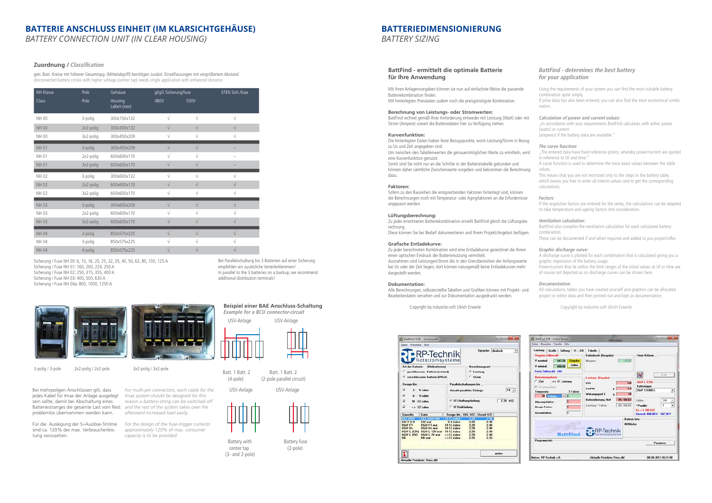# **BATTERIE ANSCHLUSS EINHEIT (IM KLARSICHTGEHÄUSE)**

*BATTERY CONNECTION UNIT (IN CLEAR HOUSING)*

#### **Zuordnung / Classification**

| NH Klasse    | Pole      | Gehäuse               | gl/gG Sicherung/fuse |            | EFEN Sich./fuse |
|--------------|-----------|-----------------------|----------------------|------------|-----------------|
| Class        | Pole      | Housing<br>LxBxH (mm) | 480V                 | 550V       |                 |
| <b>NH 00</b> | 3-polig   | 300x150x132           | $\sqrt{}$            | $\sqrt{}$  | V               |
| <b>NH 00</b> | 2x2-polig | 300x300x132           | $\sqrt{}$            | $\sqrt{}$  | $\sqrt{}$       |
| <b>NH 00</b> | 3x2-polig | 300x450x209           | V                    | V          | V               |
| <b>NH 01</b> | 3-polig   | 300x450x209           | $\sqrt{}$            | $\sqrt{}$  |                 |
| <b>NH 01</b> | 2x2-polig | 600x600x170           | $\sqrt{}$            | V          |                 |
| <b>NH 01</b> | 3x2-polig | 600x600x170           | $\sqrt{}$            |            |                 |
| <b>NH02</b>  | 3-polig   | 300x600x132           | $\sqrt{}$            | $\sqrt{ }$ |                 |
| <b>NH02</b>  | 2x2-polig | 600x600x170           | $\sqrt{}$            | $\sqrt{}$  | $\sqrt{}$       |
| <b>NH02</b>  | 3x2-polig | 600x600x170           | $\sqrt{}$            | $\sqrt{}$  | $\sqrt{}$       |
| <b>NH03</b>  | 3-polig   | 300x600x209           | $\sqrt{}$            | $\sqrt{}$  | $\sqrt{}$       |
| <b>NH03</b>  | 2x2-polig | 600x600x170           | $\sqrt{}$            | $\sqrt{}$  | $\sqrt{}$       |
| <b>NH03</b>  | 3x2-polig | 600x600x170           | $\sqrt{}$            | V          | V               |
| <b>NH04</b>  | 2-polig   | 850x575x225           | $\sqrt{}$            | $\sqrt{}$  | $\sqrt{}$       |
| <b>NH04</b>  | 3-polig   | 850x575x225           | V                    | V          |                 |
| <b>NH 04</b> | 4-polig   | 850x575x225           | V                    |            |                 |

Sicherung / Fuse NH 00: 6, 10, 16, 20, 25, 32, 35, 40, 50, 63, 80, 100, 125 A Sicherung / Fuse NH 01: 160, 200, 224, 250 A Sicherung / Fuse NH 02: 250, 315, 355, 400 A Sicherung / Fuse NH 03: 400, 500, 630 A Sicherung / Fuse NH 04a: 800, 1000, 1250 A

3-polig / 3-pole 2x2-polig / 2x2-pole



getr. Batt.-Kreise mit höherer Gesamtspg. (Mittelabgriff) benötigen zusätzl. Einzelfassungen mit vergrößertem Abstand disconnected battery circles with higher voltage (center tap) needs single application with enhanced distance

> Bei Parallelschaltung bis 3 Batterien auf einer Sicherung empfehlen wir zusätzliche Verteilerklemmen! In parallel to the 3 batteries on a backup, we recommend additional distribution terminals!



Bei mehrpoligen Anschlüssen gilt, dass jedes Kabel für Imax der Anlage ausgelegt sein sollte, damit bei Abschaltung eines Batteriestranges die gesamte Last vom Rest *and the rest of the system takes over the*  problemlos übernommen werden kann.

Für die Auslegung der Si-Auslöse-Ströme sind ca. 120% der max. Verbraucherleistung vorzusehen.

*For multi-pin connectors, each cable for the Imax system should be designed for this reason a battery-string can be switched off afterward increased load easily.*

*For the design of the fuse-trigger currents approximately 120% of max. consumer capacity is to be provided.* 

3x2-polig / 3x2-pole

#### **Beispiel einer BAE Anschluss-Schaltung** *Example for a BCU connector-circuit*

#### **BattFind - ermittelt die optimale Batterie für Ihre Anwendung**

Mit ihren Anlagenvorgaben können sie nun auf einfachste Weise die passende Batteriekombination finden. Mit hinterlegten Preisdaten zudem noch die preisgünstigste Kombination.

#### **Berechnung von Leistungs- oder Stromwerten:**

BattFind rechnet gemäß Ihrer Anforderung entweder mit Leistung (Watt) oder mit Strom (Ampere) soweit die Batteriedaten hier zu Verfügung stehen.

#### **Kurvenfunktion:**

Die hinterlegten Daten haben feste Bezugspunkte, worin Leistung/Strom in Bezug zu Us und Zeit angegeben sind. Um zwischen den Tabellenwerten die genauestmöglichen Werte zu ermitteln, wird eine Kurvenfunktion genutzt. Somit sind Sie nicht nur an die Schritte in der Batterietabelle gebunden und können daher sämtliche Zwischenwerte vorgeben und bekommen die Berechnung dazu.

Battery with Battery fuse<br>
center tap (2-pole) center tap (3- and 2-pole)

#### **Faktoren:**

Sofern zu den Baureihen die entsprechenden Faktoren hinterlegt sind, können die Berechnungen noch mit Temperatur- oder Agingfaktoren an die Erfordernisse angepasst werden.

#### **Lüftungsberechnung:**

Zu jeder errechneten Batteriekombination erstellt BattFind gleich die Lüftungsberechnung.

Diese können Sie bei Bedarf dokumentieren und Ihrem Projekt/Angebot beifügen.

#### **Grafische Entladekurve:**

Zu jeder berechneten Kombination wird eine Entladekurve gezeichnet die Ihnen einen optischen Eindruck der Batterienutzung vermittelt. Ausnahmen sind Leistungen/Strom die in den Grenzbereichen der Anfangswerte

bei Us oder der Zeit liegen; dort können naturgemäß keine Entladekurven mehr dargestellt werden.

#### **Dokumentation:**

Alle Berechnungen, selbsterstellte Tabellen und Grafiken können mit Projekt- und Bearbeiterdaten versehen und zur Dokumentation ausgedruckt werden.

Copyright by industrie-soft Ulrich Erwerle

|                     | RP-Technik                                  |                              |                            | Speache: deutsch      |        | ۰        |
|---------------------|---------------------------------------------|------------------------------|----------------------------|-----------------------|--------|----------|
|                     | Art der Batterie: [Bleibatterien]           |                              |                            | <b>Berechnungsat</b>  |        |          |
|                     | geschlossene Batterie (vented)              |                              |                            | <sup>G</sup> Leisbung |        |          |
|                     | <sup>(*</sup> verschlossene Batterie [VRLA] |                              | C Strom                    |                       |        |          |
| <b>Design life:</b> |                                             |                              | Parallelschaltungen bis    |                       |        |          |
| s                   | 3-5 Jahre                                   |                              | Anzahl paralleler Strange: |                       |        | $10 - 4$ |
| Ψ                   | $6 - 3$ Johnn                               |                              |                            |                       |        |          |
| u                   | 10 - 12 Jahre                               |                              | G U Erhaltungsladung       |                       |        | 2.28 V/Z |
| σ                   | $-3$ 12 Jahren                              | <b>C. U. Stackladiung</b>    |                            |                       |        |          |
| Baureihe            | Dates                                       | Design Me UEL V/Z Ustark V/Z |                            |                       |        |          |
| GN V-5-H            | <b>GEL OSN wal</b><br>GiV.wal               | <b>G-9 Jahre</b>             | 2.20                       | 2.40                  | 40     |          |
| <b>OGW FT</b>       | <b>OGN FT.wat</b>                           | 10-12 Jahre                  | 2.28                       | 2.40                  |        |          |
| DGW H+              | <b>OGN N+ wat</b>                           | 10-12 Jahre                  | 2.28                       | 2.40                  |        |          |
|                     | 06W L (12V) 06W L 12V.wat                   | 10-12 Jahre                  | 2.28                       | 2.40                  |        |          |
| <b>OGN L (2V)</b>   | <b>OGN'L 2V wat</b>                         | $= 512$ Jahre                | 2.28                       | 2.40                  |        |          |
| <b>BR</b>           | <b>RR</b> wat                               | $= 512$ Jahre                | 2.25                       | 225                   |        |          |
|                     |                                             |                              |                            |                       |        |          |
|                     |                                             |                              |                            |                       | weiter |          |

### *BattFind - determines the best battery for your application*

Using the requirements of your system you can find the most suitable battery combination quite simply.

If price data has also been entered, you can also find the most economical combination.

#### *Calculation of power and current values:*

"In accordance with your requirements BattFind calculates with either power (watts) or current

(amperes) if the battery data are available."

#### *The curve function:*

"The entered data have fixed reference points, whereby power/current are quoted in reference to Uf and time."

A curve function is used to determine the most exact values between the table values.

This means that you are not restricted only to the steps in the battery table, which leaves you free to enter all interim values and to get the corresponding calculations.

#### *Factors:*

If the respective factors are entered for the series, the calculations can be adapted to take temperature and ageing factors into consideration.

#### *Ventilation calculation:*

BattFind also compiles the ventilation calculation for each calculated battery combination.

These can be documented if and when required and added to you project/offer.

#### *Graphic discharge curve:*

A discharge curve is plotted for each combination that is calculated giving you a graphic impression of the battery usage.

Power/current that lie within the limit ranges of the initial values at Uf or time are of course not depicted as no discharge curves can be shown here.

#### *Documentation:*

All calculations, tables you have created yourself and graphics can be allocated project or editor data and then printed out and kept as documentation.

Copyright by industrie-soft Ulrich Erwerle



# **BATTERIEDIMENSIONIERUNG**

*BATTERY SIZING*

USV-Anlage USV-Anlage



Batt. 1 Batt. 2 Batt. 1 Batt. 2

(4-pole) (2-pole parallel circuit)

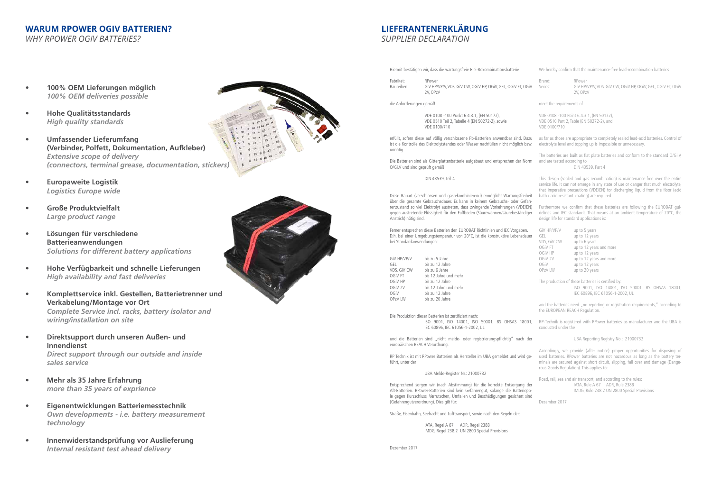

Baureihen: GiV HP/VP/V, VDS, GiV CW, OGiV HP, OGiV, GEL, OGiV FT, OGiV 2V, OPzV

die Anforderungen gemäß

VDE 0108 -100 Punkt 6.4.3.1, (EN 50172), VDE 0510 Teil 2, Tabelle 4 (EN 50272-2), sowie VDE 0100/710

Die Batterien sind als Gitterplattenbatterie aufgebaut und entsprechen der Norm O/Gi.V und sind geprüft gemäß

DIN 43539, Teil 4

Diese Bauart (verschlossen und gasrekombinierend) ermöglicht Wartungsfreiheit über die gesamte Gebrauchsdauer. Es kann in keinem Gebrauchs- oder Gefah renzustand so viel Elektrolyt austreten, dass zwingende Vorkehrungen (VDE/EN) gegen austretende Flüssigkeit für den Fußboden (Säurewannen/säurebeständiger Anstrich) nötig sind.

und die Batterien sind "nicht melde- oder registrierungspflichtig" nach der europäischen REACH Verordnung.

Ferner entsprechen diese Batterien den EUROBAT Richtlinien und IEC Vorgaben. D.h. bei einer Umgebungstemperatur von 20°C, ist die konstruktive Lebensdauer bei Standardanwendungen:

Brand: RPower Series: GiV HP/VP/V, VDS, GiV CW, OGiV HP, OGiV, GEL, OGiV FT, OGiV  $2V$   $\cap$ P<sub>7</sub> $V$ 

| GiV HP/VP/V        | bis zu 5 Jahre        |
|--------------------|-----------------------|
| GEL                | bis zu 12 Jahre       |
| VDS, GIV CW        | bis zu 6 Jahre        |
| OGIV FT            | bis 12 Jahre und mehr |
| OGIV HP            | bis zu 12 Jahre       |
| OGiV <sub>2V</sub> | bis 12 Jahre und mehr |
| OGiV               | bis zu 12 Jahre       |
| <b>OPzV LW</b>     | bis zu 20 Jahre       |

erfüllt, sofern diese auf völlig verschlossene Pb-Batterien anwendbar sind. Dazu ist die Kontrolle des Elektrolytstandes oder Wasser nachfüllen nicht möglich bzw. unnötig. as far as those are appropriate to completely sealed lead-acid batteries. Control of electrolyte level and topping up is impossible or unnecessary.

RP Technik ist mit RPower Batterien als Hersteller im UBA gemeldet und wird ge führt, unter der

UBA Melde-Register Nr.: 21000732

and the batteries need "no reporting or registration requirements," according to the EUROPEAN REACH Regulation.

Entsprechend sorgen wir (nach Abstimmung) für die korrekte Entsorgung der Alt-Batterien. RPower-Batterien sind kein Gefahrengut, solange die Batteriepo le gegen Kurzschluss, Verrutschen, Umfallen und Beschädigungen gesichert sind (Gefahrengutverordnung). Dies gilt für:

Straße, Eisenbahn, Seefracht und Lufttransport, sowie nach den Regeln der:

IATA, Regel A 67 ADR, Regel 238B IMDG, Regel 238.2 UN 2800 Special Provisions

Dezember 2017



We hereby confirm that the maintenance-free lead-recombination batteries

meet the requirements of

VDE 0108 -100 Point 6.4.3.1, (EN 50172), VDE 0510 Part 2, Table (EN 50272-2), and VDE 0100/710

Die Produktion dieser Batterien ist zertifiziert nach: ISO 9001, ISO 14001, ISO 50001, BS OHSAS 18001, IEC 60896, IEC 61056-1-2002, UL RP-Technik is registered with RPower batteries as manufacturer and the UBA is conducted under the

The batteries are built as flat plate batteries and conform to the standard O/Gi.V, and are tested according to

DIN 43539, Part 4

This design (sealed and gas recombination) is maintenance-free over the entire service life. It can not emerge in any state of use or danger that much electrolyte, that imperative precautions (VDE/EN) for discharging liquid from the floor (acid bath / acid resistant coating) are required.

Furthermore we confirm that these batteries are following the EUROBAT gui delines and IEC standards. That means at an ambient temperature of 20°C, the design life for standard applications is:

| GiV HP/VP/V    | up to 5 years           |
|----------------|-------------------------|
| GEL            | up to 12 years          |
| VDS, GIV CW    | up to 6 years           |
| OGIV FT        | up to 12 years and more |
| OGIV HP        | up to 12 years          |
| OGiV 2V        | up to 12 years and more |
| 0GiV           | up to 12 years          |
| <b>OPzV LW</b> | up to 20 years          |

The production of these batteries is certified by: ISO 9001, ISO 14001, ISO 50001, BS OHSAS 18001, IEC 60896, IEC 61056-1-2002, UL

UBA Reporting Registry No.: 21000732

Accordingly, we provide (after notice) proper opportunities for disposing of used batteries. RPower batteries are not hazardous as long as the battery ter minals are secured against short circuit, slipping, fall over and damage (Dange rous Goods Regulation). This applies to:

Road, rail, sea and air transport, and according to the rules: IATA, Rule A 67 ADR, Rule 238B IMDG, Rule 238.2 UN 2800 Special Provisions

December 2017

**LIEFERANTENERKLÄRUNG**

*SUPPLIER DECLARATION*

# **WARUM RPOWER OGIV BATTERIEN?** *WHY RPOWER OGIV BATTERIES?*

- **• 100% OEM Lieferungen möglich** *100% OEM deliveries possible*
- **• Hohe Qualitätsstandards** *High quality standards*
- **Umfassender Lieferumfang (Verbinder, Polfett, Dokumentation, Aufkleber)**  *Extensive scope of delivery (connectors, terminal grease, documentation, stickers)*
- **• Europaweite Logistik** *Logistics Europe wide*
- **• Große Produktvielfalt** *Large product range*
- **Lösungen für verschiedene Batterieanwendungen** *Solutions for different battery applications*
- **• Hohe Verfügbarkeit und schnelle Lieferungen** *High availability and fast deliveries*
- **Komplettservice inkl. Gestellen, Batterietrenner und Verkabelung/Montage vor Ort**  *Complete Service incl. racks, battery isolator and wiring/installation on site*
- **Direktsupport durch unseren Außen- und Innendienst**  *Direct support through our outside and inside sales service*
- **• Mehr als 35 Jahre Erfahrung** *more than 35 years of exprience*
- **• Eigenentwicklungen Batteriemesstechnik**  *Own developments - i.e. battery measurement technology*
- *•* **Innenwiderstandsprüfung vor Auslieferung** *Internal resistant test ahead delivery*